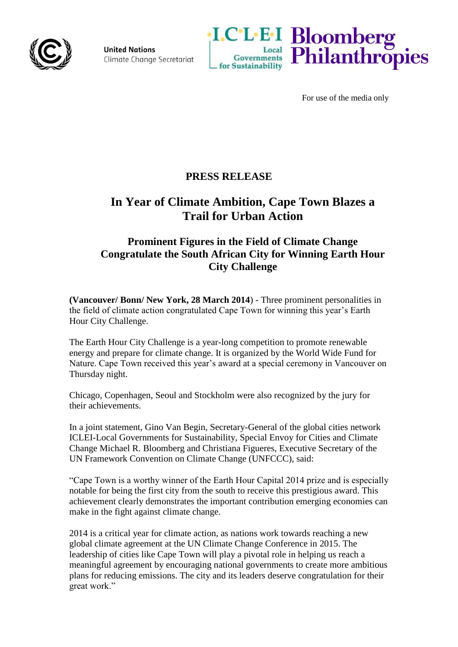

**United Nations** Climate Change Secretariat





For use of the media only

## **PRESS RELEASE**

# **In Year of Climate Ambition, Cape Town Blazes a Trail for Urban Action**

## **Prominent Figures in the Field of Climate Change Congratulate the South African City for Winning Earth Hour City Challenge**

**(Vancouver/ Bonn/ New York, 28 March 2014**) - Three prominent personalities in the field of climate action congratulated Cape Town for winning this year's Earth Hour City Challenge.

The Earth Hour City Challenge is a year-long competition to promote renewable energy and prepare for climate change. It is organized by the World Wide Fund for Nature. Cape Town received this year's award at a special ceremony in Vancouver on Thursday night.

Chicago, Copenhagen, Seoul and Stockholm were also recognized by the jury for their achievements.

In a joint statement, Gino Van Begin, Secretary-General of the global cities network ICLEI-Local Governments for Sustainability, Special Envoy for Cities and Climate Change Michael R. Bloomberg and Christiana Figueres, Executive Secretary of the UN Framework Convention on Climate Change (UNFCCC), said:

"Cape Town is a worthy winner of the Earth Hour Capital 2014 prize and is especially notable for being the first city from the south to receive this prestigious award. This achievement clearly demonstrates the important contribution emerging economies can make in the fight against climate change.

2014 is a critical year for climate action, as nations work towards reaching a new global climate agreement at the UN Climate Change Conference in 2015. The leadership of cities like Cape Town will play a pivotal role in helping us reach a meaningful agreement by encouraging national governments to create more ambitious plans for reducing emissions. The city and its leaders deserve congratulation for their great work."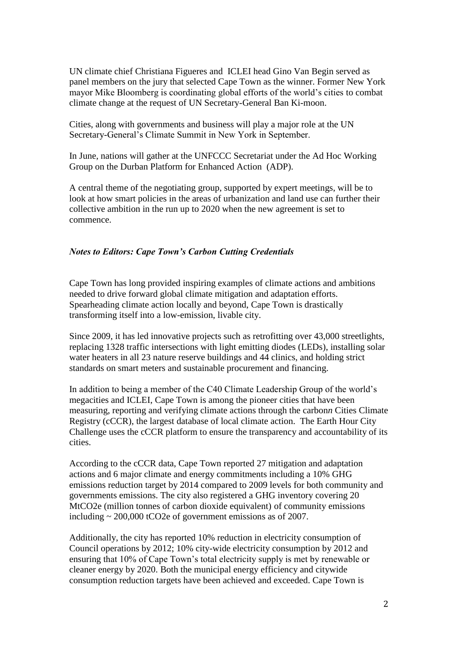UN climate chief Christiana Figueres and ICLEI head Gino Van Begin served as panel members on the jury that selected Cape Town as the winner. Former New York mayor Mike Bloomberg is coordinating global efforts of the world's cities to combat climate change at the request of UN Secretary-General Ban Ki-moon.

Cities, along with governments and business will play a major role at the UN Secretary-General's Climate Summit in New York in September.

In June, nations will gather at the UNFCCC Secretariat under the Ad Hoc Working Group on the Durban Platform for Enhanced Action (ADP).

A central theme of the negotiating group, supported by expert meetings, will be to look at how smart policies in the areas of urbanization and land use can further their collective ambition in the run up to 2020 when the new agreement is set to commence.

## *Notes to Editors: Cape Town's Carbon Cutting Credentials*

Cape Town has long provided inspiring examples of climate actions and ambitions needed to drive forward global climate mitigation and adaptation efforts. Spearheading climate action locally and beyond, Cape Town is drastically transforming itself into a low-emission, livable city.

Since 2009, it has led innovative projects such as retrofitting over 43,000 streetlights, replacing 1328 traffic intersections with light emitting diodes (LEDs), installing solar water heaters in all 23 nature reserve buildings and 44 clinics, and holding strict standards on smart meters and sustainable procurement and financing.

In addition to being a member of the C40 Climate Leadership Group of the world's megacities and ICLEI, Cape Town is among the pioneer cities that have been measuring, reporting and verifying climate actions through the carbon*n* Cities Climate Registry (cCCR), the largest database of local climate action. The Earth Hour City Challenge uses the cCCR platform to ensure the transparency and accountability of its cities.

According to the cCCR data, Cape Town reported 27 mitigation and adaptation actions and 6 major climate and energy commitments including a 10% GHG emissions reduction target by 2014 compared to 2009 levels for both community and governments emissions. The city also registered a GHG inventory covering 20 MtCO2e (million tonnes of carbon dioxide equivalent) of community emissions including ~ 200,000 tCO2e of government emissions as of 2007.

Additionally, the city has reported 10% reduction in electricity consumption of Council operations by 2012; 10% city-wide electricity consumption by 2012 and ensuring that 10% of Cape Town's total electricity supply is met by renewable or cleaner energy by 2020. Both the municipal energy efficiency and citywide consumption reduction targets have been achieved and exceeded. Cape Town is